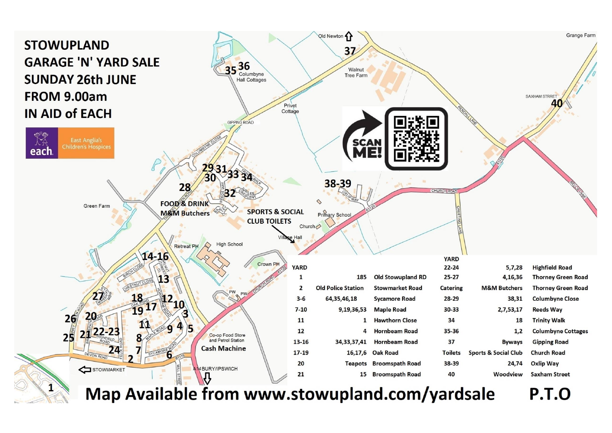